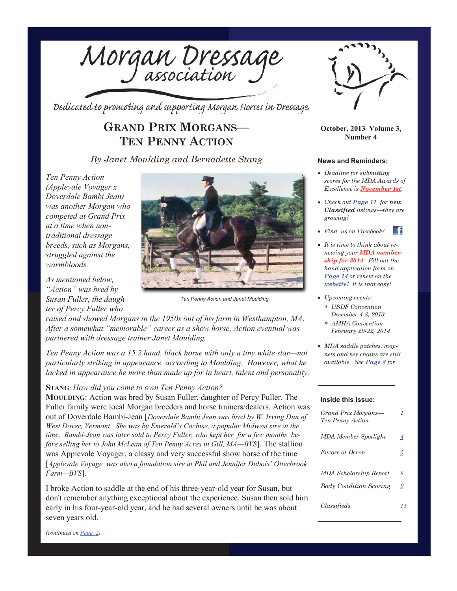

Dedicated to promoting and supporting Morgan Horses in Dressage.

### **GRAND PRIX MORGANS— TEN PENNY ACTION**

*By Janet Moulding and Bernadette Stang* **News and Reminders:** 

*Ten Penny Action (Applevale Voyager x Doverdale Bambi Jean) was another Morgan who competed at Grand Prix at a time when nontraditional dressage breeds, such as Morgans, struggled against the warmbloods.* 

*As mentioned below, "Action" was bred by Susan Fuller, the daughter of Percy Fuller who* 



*Ten Penny Action and Janet Moulding*

*raised and showed Morgans in the 1950s out of his farm in Westhampton, MA*. *After a somewhat "memorable" career as a show horse, Action eventual was partnered with dressage trainer Janet Moulding.*

*Ten Penny Action was a 15.2 hand, black horse with only a tiny white star—not particularly striking in appearance, according to Moulding. However, what he lacked in appearance he more than made up for in heart, talent and personality.*

#### **STANG**: *How did you come to own Ten Penny Action?*

**MOULDING**: Action was bred by Susan Fuller, daughter of Percy Fuller. The Fuller family were local Morgan breeders and horse trainers/dealers. Action was out of Doverdale Bambi-Jean [*Doverdale Bambi Jean was bred by W. Irving Dun of West Dover, Vermont. She was by Emerald's Cochise, a popular Midwest sire at the time. Bambi-Jean was later sold to Percy Fuller, who kept her for a few months before selling her to John McLean of Ten Penny Acres in Gill, MA—BVS*]. The stallion was Applevale Voyager, a classy and very successful show horse of the time [*Applevale Voyage was also a foundation sire at Phil and Jennifer Dubois' Otterbrook Farm—BVS*].

I broke Action to saddle at the end of his three-year-old year for Susan, but don't remember anything exceptional about the experience. Susan then sold him early in his four-year-old year, and he had several owners until he was about seven years old.



**October, 2013 Volume 3, Number 4**

- x *Deadline for submitting scores for the MDA Awards of Excellence is November 1st.*
- x *Check out Page 11 for new Classified listings—they are growing!*
- x *Find us on Facebook!*
- It is time to think about re*newing your MDA membership for 2014. Fill out the hand application form on Page 14 or renew on the website! It is that easy!*
- x *Upcoming events: USDF Convention December 4-8, 2013* 
	- *AMHA Convention February 20-22, 2014*
- *MDA saddle patches, magnets and key chains are still available. See Page 8 for*

#### **Inside this issue:**

| Grand Prix Morgans—<br><b>Ten Penny Action</b> |   |
|------------------------------------------------|---|
| MDA Member Spotlight                           | 4 |
| <i>Encore at Devon</i>                         | 5 |
|                                                |   |
| MDA Scholarship Report                         | 8 |
| <b>Body Condition Scoring</b>                  | 9 |
| Classifieds                                    |   |
|                                                |   |

*(continued on Page 2)*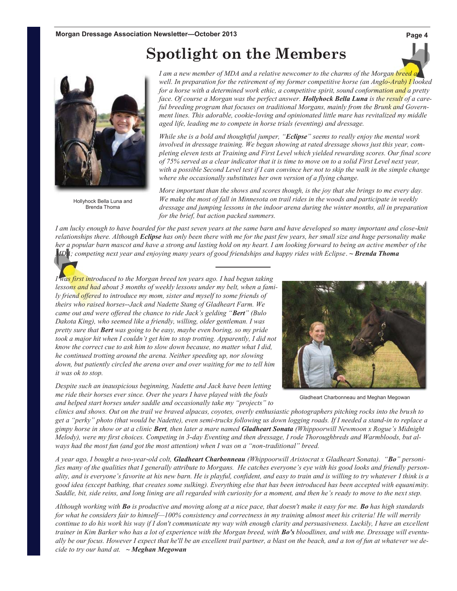### **Spotlight on the Members**



Hollyhock Bella Luna and Brenda Thoma

*I am a new member of MDA and a relative newcomer to the charms of the Morgan breed a well. In preparation for the retirement of my former competitive horse (an Anglo-Arab) I looked for a horse with a determined work ethic, a competitive spirit, sound conformation and a pretty face. Of course a Morgan was the perfect answer. Hollyhock Bella Luna is the result of a careful breeding program that focuses on traditional Morgans, mainly from the Brunk and Government lines. This adorable, cookie-loving and opinionated little mare has revitalized my middle aged life, leading me to compete in horse trials (eventing) and dressage.* 

*While she is a bold and thoughtful jumper, "Eclipse" seems to really enjoy the mental work involved in dressage training. We began showing at rated dressage shows just this year, completing eleven tests at Training and First Level which yielded rewarding scores. Our final score of 75% served as a clear indicator that it is time to move on to a solid First Level next year, with a possible Second Level test if I can convince her not to skip the walk in the simple change where she occasionally substitutes her own version of a flying change.* 

*More important than the shows and scores though, is the joy that she brings to me every day. We make the most of fall in Minnesota on trail rides in the woods and participate in weekly dressage and jumping lessons in the indoor arena during the winter months, all in preparation for the brief, but action packed summers.* 

*I am lucky enough to have boarded for the past seven years at the same barn and have developed so many important and close-knit relationships there. Although Eclipse has only been there with me for the past few years, her small size and huge personality make her a popular barn mascot and have a strong and lasting hold on my heart. I am looking forward to being an active member of the MDA; competing next year and enjoying many years of good friendships and happy rides with Eclipse*. **~** *Brenda Thoma*

*I was first introduced to the Morgan breed ten years ago. I had begun taking lessons and had about 3 months of weekly lessons under my belt, when a family friend offered to introduce my mom, sister and myself to some friends of theirs who raised horses--Jack and Nadette Stang of Gladheart Farm. We came out and were offered the chance to ride Jack's gelding "Bert" (Bulo Dakota King), who seemed like a friendly, willing, older gentleman. I was pretty sure that Bert was going to be easy, maybe even boring, so my pride took a major hit when I couldn't get him to stop trotting. Apparently, I did not know the correct cue to ask him to slow down because, no matter what I did, he continued trotting around the arena. Neither speeding up, nor slowing down, but patiently circled the arena over and over waiting for me to tell him it was ok to stop.*

*Despite such an inauspicious beginning, Nadette and Jack have been letting me ride their horses ever since. Over the years I have played with the foals and helped start horses under saddle and occasionally take my "projects" to* 



Gladheart Charbonneau and Meghan Megowan

*clinics and shows. Out on the trail we braved alpacas, coyotes, overly enthusiastic photographers pitching rocks into the brush to get a "perky" photo (that would be Nadette), even semi-trucks following us down logging roads. If I needed a stand-in to replace a gimpy horse in show or at a clinic Bert, then later a mare named Gladheart Sonata (Whippoorwill Newmoon x Rogue's Midnight Melody), were my first choices. Competing in 3-day Eventing and then dressage, I rode Thoroughbreds and Warmbloods, but always had the most fun (and got the most attention) when I was on a "non-traditional" breed.*

*A year ago, I bought a two-year-old colt, Gladheart Charbonneau (Whippoorwill Aristocrat x Gladheart Sonata). "Bo" personifies many of the qualities that I generally attribute to Morgans. He catches everyone's eye with his good looks and friendly personality, and is everyone's favorite at his new barn. He is playful, confident, and easy to train and is willing to try whatever I think is a good idea (except bathing, that creates some sulking). Everything else that has been introduced has been accepted with equanimity. Saddle, bit, side reins, and long lining are all regarded with curiosity for a moment, and then he's ready to move to the next step.* 

*Although working with Bo is productive and moving along at a nice pace, that doesn't make it easy for me. Bo has high standards for what he considers fair to himself—100% consistency and correctness in my training almost meet his criteria! He will merrily continue to do his work his way if I don't communicate my way with enough clarity and persuasiveness. Luckily, I have an excellent trainer in Kim Barker who has a lot of experience with the Morgan breed, with Bo's bloodlines, and with me. Dressage will eventually be our focus. However I expect that he'll be an excellent trail partner, a blast on the beach, and a ton of fun at whatever we decide to try our hand at.* **~** *Meghan Megowan*

**Page 4**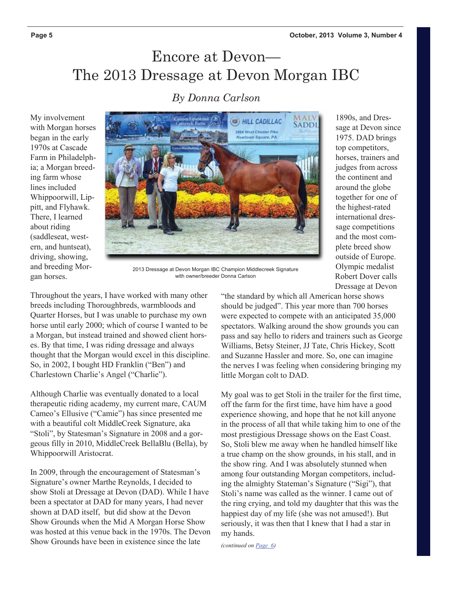## Encore at Devon— The 2013 Dressage at Devon Morgan IBC

*By Donna Carlson* 

My involvement with Morgan horses began in the early 1970s at Cascade Farm in Philadelphia; a Morgan breeding farm whose lines included Whippoorwill, Lippitt, and Flyhawk. There, I learned about riding (saddleseat, western, and huntseat), driving, showing, and breeding Morgan horses.



2013 Dressage at Devon Morgan IBC Champion Middlecreek Signature with owner/breeder Donna Carlson

1890s, and Dressage at Devon since 1975. DAD brings top competitors, horses, trainers and judges from across the continent and around the globe together for one of the highest-rated international dressage competitions and the most complete breed show outside of Europe. Olympic medalist Robert Dover calls Dressage at Devon

Throughout the years, I have worked with many other breeds including Thoroughbreds, warmbloods and Quarter Horses, but I was unable to purchase my own horse until early 2000; which of course I wanted to be a Morgan, but instead trained and showed client horses. By that time, I was riding dressage and always thought that the Morgan would excel in this discipline. So, in 2002, I bought HD Franklin ("Ben") and Charlestown Charlie's Angel ("Charlie").

Although Charlie was eventually donated to a local therapeutic riding academy, my current mare, CAUM Cameo's Ellusive ("Camie") has since presented me with a beautiful colt MiddleCreek Signature, aka "Stoli", by Statesman's Signature in 2008 and a gorgeous filly in 2010, MiddleCreek BellaBlu (Bella), by Whippoorwill Aristocrat.

In 2009, through the encouragement of Statesman's Signature's owner Marthe Reynolds, I decided to show Stoli at Dressage at Devon (DAD). While I have been a spectator at DAD for many years, I had never shown at DAD itself, but did show at the Devon Show Grounds when the Mid A Morgan Horse Show was hosted at this venue back in the 1970s. The Devon Show Grounds have been in existence since the late

"the standard by which all American horse shows should be judged". This year more than 700 horses were expected to compete with an anticipated 35,000 spectators. Walking around the show grounds you can pass and say hello to riders and trainers such as George Williams, Betsy Steiner, JJ Tate, Chris Hickey, Scott and Suzanne Hassler and more. So, one can imagine the nerves I was feeling when considering bringing my little Morgan colt to DAD.

My goal was to get Stoli in the trailer for the first time, off the farm for the first time, have him have a good experience showing, and hope that he not kill anyone in the process of all that while taking him to one of the most prestigious Dressage shows on the East Coast. So, Stoli blew me away when he handled himself like a true champ on the show grounds, in his stall, and in the show ring. And I was absolutely stunned when among four outstanding Morgan competitors, including the almighty Stateman's Signature ("Sigi"), that Stoli's name was called as the winner. I came out of the ring crying, and told my daughter that this was the happiest day of my life (she was not amused!). But seriously, it was then that I knew that I had a star in my hands.

*(continued on Page 6)*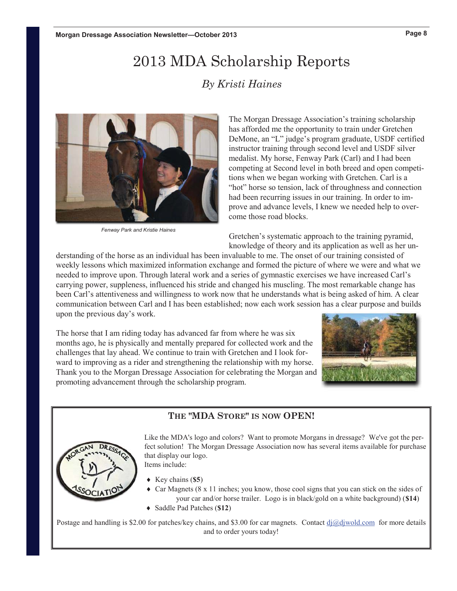# 2013 MDA Scholarship Reports

### *By Kristi Haines*



*Fenway Park and Kristie Haines*

The Morgan Dressage Association's training scholarship has afforded me the opportunity to train under Gretchen DeMone, an "L" judge's program graduate, USDF certified instructor training through second level and USDF silver medalist. My horse, Fenway Park (Carl) and I had been competing at Second level in both breed and open competitions when we began working with Gretchen. Carl is a "hot" horse so tension, lack of throughness and connection had been recurring issues in our training. In order to improve and advance levels, I knew we needed help to overcome those road blocks.

Gretchen's systematic approach to the training pyramid, knowledge of theory and its application as well as her un-

derstanding of the horse as an individual has been invaluable to me. The onset of our training consisted of weekly lessons which maximized information exchange and formed the picture of where we were and what we needed to improve upon. Through lateral work and a series of gymnastic exercises we have increased Carl's carrying power, suppleness, influenced his stride and changed his muscling. The most remarkable change has been Carl's attentiveness and willingness to work now that he understands what is being asked of him. A clear communication between Carl and I has been established; now each work session has a clear purpose and builds upon the previous day's work.

The horse that I am riding today has advanced far from where he was six months ago, he is physically and mentally prepared for collected work and the challenges that lay ahead. We continue to train with Gretchen and I look forward to improving as a rider and strengthening the relationship with my horse. Thank you to the Morgan Dressage Association for celebrating the Morgan and promoting advancement through the scholarship program.



### **THE "MDA STORE" IS NOW OPEN!**

Like the MDA's logo and colors? Want to promote Morgans in dressage? We've got the perfect solution! The Morgan Dressage Association now has several items available for purchase that display our logo.

Items include:

- $\triangleleft$  Key chains (\$5)
	- Car Magnets  $(8 \times 11)$  inches; you know, those cool signs that you can stick on the sides of your car and/or horse trailer. Logo is in black/gold on a white background) (**\$14**)
- i Saddle Pad Patches (**\$12**)

Postage and handling is \$2.00 for patches/key chains, and \$3.00 for car magnets. Contact dj@djwold.com for more details and to order yours today!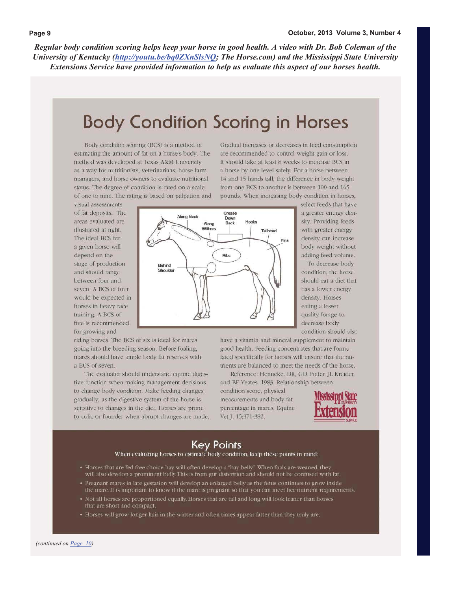Regular body condition scoring helps keep your horse in good health. A video with Dr. Bob Coleman of the University of Kentucky (http://youtu.be/bq0ZXnSlsNQ; The Horse.com) and the Mississippi State University Extensions Service have provided information to help us evaluate this aspect of our horses health.

# **Body Condition Scoring in Horses**

Body condition scoring (BCS) is a method of estimating the amount of fat on a horse's body. The method was developed at Texas A&M University as a way for nutritionists, veterinarians, horse farm managers, and horse owners to evaluate nutritional status. The degree of condition is rated on a scale of one to nine. The rating is based on palpation and

visual assessments of fat deposits. The areas evaluated are illustrated at right. The ideal BCS for a given horse will depend on the stage of production and should range between four and seven. A BCS of four would be expected in horses in heavy race training. A BCS of five is recommended for growing and

riding horses. The BCS of six is ideal for mares going into the breeding season. Before foaling, mares should have ample body fat reserves with a BCS of seven.

The evaluator should understand equine digestive function when making management decisions to change body condition. Make feeding changes gradually, as the digestive system of the horse is sensitive to changes in the diet. Horses are prone to colic or founder when abrupt changes are made. Gradual increases or decreases in feed consumption are recommended to control weight gain or loss. It should take at least 8 weeks to increase BCS in a horse by one level safely. For a horse between 14 and 15 hands tall, the difference in body weight from one BCS to another is between 100 and 165 pounds. When increasing body condition in horses,

Crease **Along Neck** Down Hooks **Back** Along Tailhead Pins Rihs **Behind** Shoulder

select feeds that have a greater energy density. Providing feeds with greater energy density can increase body weight without adding feed volume.

To decrease body condition, the horse should eat a diet that has a lower energy density. Horses eating a lesser quality forage to decrease body condition should also

have a vitamin and mineral supplement to maintain good health. Feeding concentrates that are formulated specifically for horses will ensure that the nutrients are balanced to meet the needs of the horse.

Reference: Henneke, DR, GD Potter, JL Kreider, and BF Yeates. 1983. Relationship between

condition score, physical measurements and body fat percentage in mares. Equine Vet J. 15:371-382.



### **Key Points**

When evaluating horses to estimate body condition, keep these points in mind:

- · Horses that are fed free-choice hay will often develop a "hay belly." When foals are weaned, they will also develop a prominent belly. This is from gut distention and should not be confused with fat.
- Pregnant mares in late gestation will develop an enlarged belly as the fetus continues to grow inside the mare. It is important to know if the mare is pregnant so that you can meet her nutrient requirements.
- Not all horses are proportioned equally. Horses that are tall and long will look leaner than horses that are short and compact
- Horses will grow longer hair in the winter and often times appear fatter than they truly are.